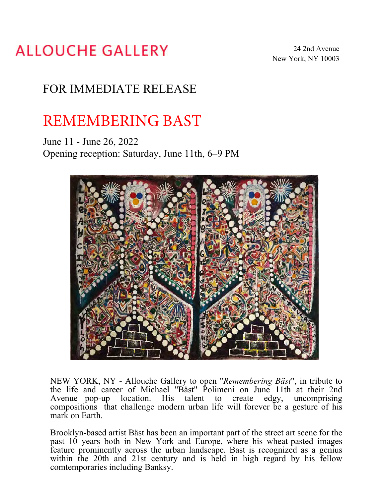## **ALLOUCHE GALLERY**

## FOR IMMEDIATE RELEASE

## REMEMBERING BAST

June 11 - June 26, 2022 Opening reception: Saturday, June 11th, 6–9 PM



NEW YORK, NY - Allouche Gallery to open "*Remembering Bäst*", in tribute to the life and career of Michael "Bäst" Polimeni on June 11th at their 2nd Avenue pop-up location. His talent to create edgy, uncomprising compositions that challenge modern urban life will forever be a gesture of his mark on Earth.

Brooklyn-based artist Bäst has been an important part of the street art scene for the past  $10$  years both in New York and Europe, where his wheat-pasted images feature prominently across the urban landscape. Bast is recognized as a genius within the 20th and 21st century and is held in high regard by his fellow comtemporaries including Banksy.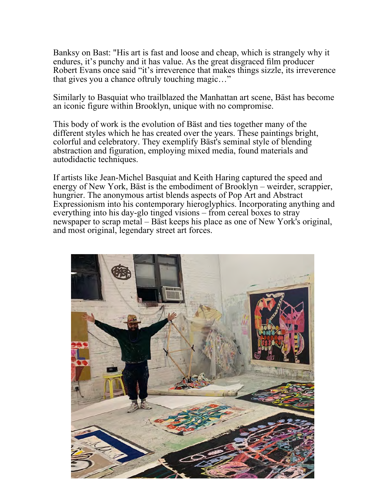Banksy on Bast: "His art is fast and loose and cheap, which is strangely why it endures, it's punchy and it has value. As the great disgraced film producer Robert Evans once said "it's irreverence that makes things sizzle, its irreverence that gives you a chance oftruly touching magic…"

Similarly to Basquiat who trailblazed the Manhattan art scene, Bäst has become an iconic figure within Brooklyn, unique with no compromise.

This body of work is the evolution of Bäst and ties together many of the different styles which he has created over the years. These paintings bright, colorful and celebratory. They exemplify Bäst's seminal style of blending abstraction and figuration, employing mixed media, found materials and autodidactic techniques.

If artists like Jean-Michel Basquiat and Keith Haring captured the speed and energy of New York, Bäst is the embodiment of Brooklyn – weirder, scrappier, hungrier. The anonymous artist blends aspects of Pop Art and Abstract Expressionism into his contemporary hieroglyphics. Incorporating anything and everything into his day-glo tinged visions – from cereal boxes to stray newspaper to scrap metal – Bäst keeps his place as one of New York's original, and most original, legendary street art forces.